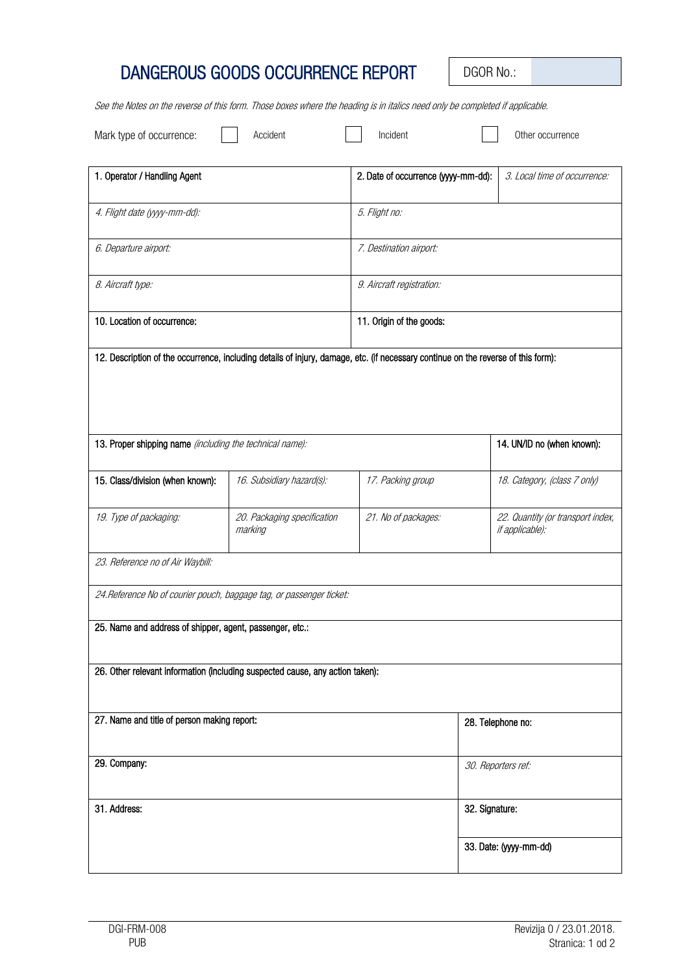## DANGEROUS GOODS OCCURRENCE REPORT | DGOR No.:

See the Notes on the reverse of this form. Those boxes where the heading is in italics need only be completed if applicable.

| Mark type of occurrence:                                                                                                          | Accident                               | Incident                            |                        | Other occurrence                                     |
|-----------------------------------------------------------------------------------------------------------------------------------|----------------------------------------|-------------------------------------|------------------------|------------------------------------------------------|
| 1. Operator / Handling Agent                                                                                                      |                                        | 2. Date of occurrence (yyyy-mm-dd): |                        | 3. Local time of occurrence:                         |
| 4. Flight date (yyyy-mm-dd):                                                                                                      |                                        | 5. Flight no:                       |                        |                                                      |
| 6. Departure airport:                                                                                                             |                                        | 7. Destination airport:             |                        |                                                      |
| 8. Aircraft type:                                                                                                                 |                                        | 9. Aircraft registration:           |                        |                                                      |
| 10. Location of occurrence:                                                                                                       |                                        | 11. Origin of the goods:            |                        |                                                      |
| 12. Description of the occurrence, including details of injury, damage, etc. (if necessary continue on the reverse of this form): |                                        |                                     |                        |                                                      |
|                                                                                                                                   |                                        |                                     |                        |                                                      |
| 13. Proper shipping name (including the technical name):                                                                          |                                        |                                     |                        | 14. UN/ID no (when known):                           |
| 15. Class/division (when known):                                                                                                  | 16. Subsidiary hazard(s):              | 17. Packing group                   |                        | 18. Category, (class 7 only)                         |
| 19. Type of packaging:                                                                                                            | 20. Packaging specification<br>marking | 21. No of packages:                 |                        | 22. Quantity (or transport index,<br>if applicable): |
| 23. Reference no of Air Waybill:                                                                                                  |                                        |                                     |                        |                                                      |
| 24. Reference No of courier pouch, baggage tag, or passenger ticket:                                                              |                                        |                                     |                        |                                                      |
| 25. Name and address of shipper, agent, passenger, etc.:                                                                          |                                        |                                     |                        |                                                      |
| 26. Other relevant information (including suspected cause, any action taken):                                                     |                                        |                                     |                        |                                                      |
| 27. Name and title of person making report:                                                                                       |                                        |                                     | 28. Telephone no:      |                                                      |
| 29. Company:                                                                                                                      |                                        |                                     | 30. Reporters ref:     |                                                      |
| 31. Address:                                                                                                                      |                                        |                                     | 32. Signature:         |                                                      |
|                                                                                                                                   |                                        |                                     | 33. Date: (yyyy-mm-dd) |                                                      |